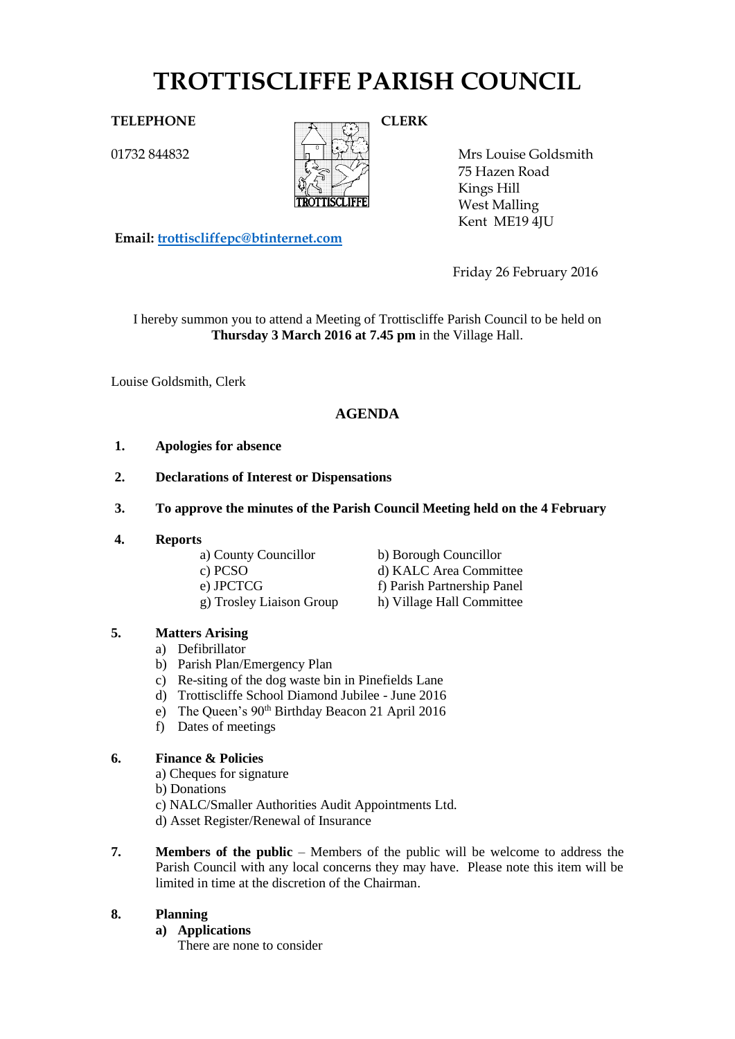# **TROTTISCLIFFE PARISH COUNCIL**

01732 844832



Mrs Louise Goldsmith 75 Hazen Road Kings Hill West Malling Kent ME19 4JU

**Email: [trottiscliffepc@btinternet.com](mailto:trottiscliffepc@btinternet.com)**

Friday 26 February 2016

I hereby summon you to attend a Meeting of Trottiscliffe Parish Council to be held on **Thursday 3 March 2016 at 7.45 pm** in the Village Hall.

Louise Goldsmith, Clerk

# **AGENDA**

- **1. Apologies for absence**
- **2. Declarations of Interest or Dispensations**
- **3. To approve the minutes of the Parish Council Meeting held on the 4 February**
- **4. Reports**

a) County Councillor b) Borough Councillor g) Trosley Liaison Group h) Village Hall Committee

c) PCSO d) KALC Area Committee e) JPCTCG f) Parish Partnership Panel

# **5. Matters Arising**

- a) Defibrillator
- b) Parish Plan/Emergency Plan
- c) Re-siting of the dog waste bin in Pinefields Lane
- d) Trottiscliffe School Diamond Jubilee June 2016
- e) The Queen's 90th Birthday Beacon 21 April 2016
- f) Dates of meetings

## **6. Finance & Policies**

- a) Cheques for signature
- b) Donations
- c) NALC/Smaller Authorities Audit Appointments Ltd.
- d) Asset Register/Renewal of Insurance
- **7. Members of the public** Members of the public will be welcome to address the Parish Council with any local concerns they may have. Please note this item will be limited in time at the discretion of the Chairman.

# **8. Planning**

- **a) Applications**
	- There are none to consider